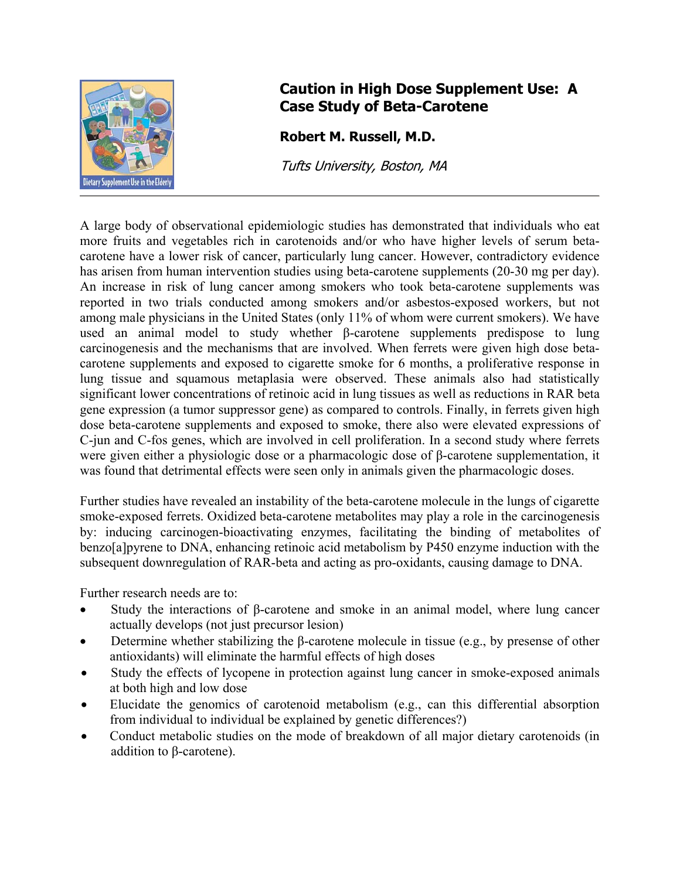

## **Caution in High Dose Supplement Use: A Case Study of Beta-Carotene**

**Robert M. Russell, M.D.** 

Tufts University, Boston, MA

A large body of observational epidemiologic studies has demonstrated that individuals who eat more fruits and vegetables rich in carotenoids and/or who have higher levels of serum betacarotene have a lower risk of cancer, particularly lung cancer. However, contradictory evidence has arisen from human intervention studies using beta-carotene supplements (20-30 mg per day). An increase in risk of lung cancer among smokers who took beta-carotene supplements was reported in two trials conducted among smokers and/or asbestos-exposed workers, but not among male physicians in the United States (only 11% of whom were current smokers). We have used an animal model to study whether β-carotene supplements predispose to lung carcinogenesis and the mechanisms that are involved. When ferrets were given high dose betacarotene supplements and exposed to cigarette smoke for 6 months, a proliferative response in lung tissue and squamous metaplasia were observed. These animals also had statistically significant lower concentrations of retinoic acid in lung tissues as well as reductions in RAR beta gene expression (a tumor suppressor gene) as compared to controls. Finally, in ferrets given high dose beta-carotene supplements and exposed to smoke, there also were elevated expressions of C-jun and C-fos genes, which are involved in cell proliferation. In a second study where ferrets were given either a physiologic dose or a pharmacologic dose of β-carotene supplementation, it was found that detrimental effects were seen only in animals given the pharmacologic doses.

Further studies have revealed an instability of the beta-carotene molecule in the lungs of cigarette smoke-exposed ferrets. Oxidized beta-carotene metabolites may play a role in the carcinogenesis by: inducing carcinogen-bioactivating enzymes, facilitating the binding of metabolites of benzo[a]pyrene to DNA, enhancing retinoic acid metabolism by P450 enzyme induction with the subsequent downregulation of RAR-beta and acting as pro-oxidants, causing damage to DNA.

Further research needs are to:

- Study the interactions of β-carotene and smoke in an animal model, where lung cancer actually develops (not just precursor lesion)
- Determine whether stabilizing the β-carotene molecule in tissue (e.g., by presense of other antioxidants) will eliminate the harmful effects of high doses
- Study the effects of lycopene in protection against lung cancer in smoke-exposed animals at both high and low dose
- Elucidate the genomics of carotenoid metabolism (e.g., can this differential absorption from individual to individual be explained by genetic differences?)
- Conduct metabolic studies on the mode of breakdown of all major dietary carotenoids (in addition to β-carotene).